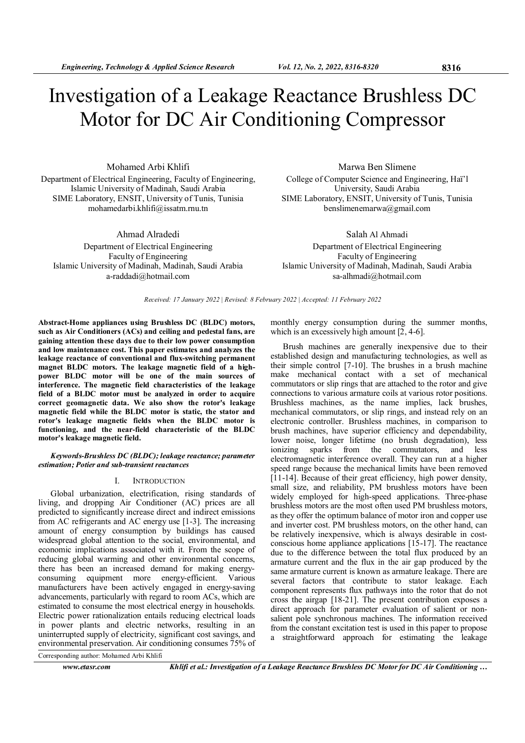# Investigation of a Leakage Reactance Brushless DC Motor for DC Air Conditioning Compressor

Mohamed Arbi Khlifi Department of Electrical Engineering, Faculty of Engineering, Islamic University of Madinah, Saudi Arabia SIME Laboratory, ENSIT, University of Tunis, Tunisia mohamedarbi.khlifi@issatm.rnu.tn

Ahmad Alradedi Department of Electrical Engineering Faculty of Engineering Islamic University of Madinah, Madinah, Saudi Arabia a-raddadi@hotmail.com

Marwa Ben Slimene

College of Computer Science and Engineering, Haï'l University, Saudi Arabia SIME Laboratory, ENSIT, University of Tunis, Tunisia benslimenemarwa@gmail.com

Salah Al Ahmadi Department of Electrical Engineering Faculty of Engineering Islamic University of Madinah, Madinah, Saudi Arabia sa-alhmadi@hotmail.com

Received: 17 January 2022 | Revised: 8 February 2022 | Accepted: 11 February 2022

Abstract-Home appliances using Brushless DC (BLDC) motors, such as Air Conditioners (ACs) and ceiling and pedestal fans, are gaining attention these days due to their low power consumption and low maintenance cost. This paper estimates and analyzes the leakage reactance of conventional and flux-switching permanent magnet BLDC motors. The leakage magnetic field of a highpower BLDC motor will be one of the main sources of interference. The magnetic field characteristics of the leakage field of a BLDC motor must be analyzed in order to acquire correct geomagnetic data. We also show the rotor's leakage magnetic field while the BLDC motor is static, the stator and rotor's leakage magnetic fields when the BLDC motor is functioning, and the near-field characteristic of the BLDC motor's leakage magnetic field.

#### Keywords-Brushless DC (BLDC); leakage reactance; parameter estimation; Potier and sub-transient reactances

## I. INTRODUCTION

Global urbanization, electrification, rising standards of living, and dropping Air Conditioner (AC) prices are all predicted to significantly increase direct and indirect emissions from AC refrigerants and AC energy use [1-3]. The increasing amount of energy consumption by buildings has caused widespread global attention to the social, environmental, and economic implications associated with it. From the scope of reducing global warming and other environmental concerns, there has been an increased demand for making energyconsuming equipment more energy-efficient. Various manufacturers have been actively engaged in energy-saving advancements, particularly with regard to room ACs, which are estimated to consume the most electrical energy in households. Electric power rationalization entails reducing electrical loads in power plants and electric networks, resulting in an uninterrupted supply of electricity, significant cost savings, and environmental preservation. Air conditioning consumes 75% of

monthly energy consumption during the summer months, which is an excessively high amount  $[2, 4-6]$ .

Brush machines are generally inexpensive due to their established design and manufacturing technologies, as well as their simple control [7-10]. The brushes in a brush machine make mechanical contact with a set of mechanical commutators or slip rings that are attached to the rotor and give connections to various armature coils at various rotor positions. Brushless machines, as the name implies, lack brushes, mechanical commutators, or slip rings, and instead rely on an electronic controller. Brushless machines, in comparison to brush machines, have superior efficiency and dependability, lower noise, longer lifetime (no brush degradation), less ionizing sparks from the commutators, and less electromagnetic interference overall. They can run at a higher speed range because the mechanical limits have been removed [11-14]. Because of their great efficiency, high power density, small size, and reliability, PM brushless motors have been widely employed for high-speed applications. Three-phase brushless motors are the most often used PM brushless motors, as they offer the optimum balance of motor iron and copper use and inverter cost. PM brushless motors, on the other hand, can be relatively inexpensive, which is always desirable in costconscious home appliance applications [15-17]. The reactance due to the difference between the total flux produced by an armature current and the flux in the air gap produced by the same armature current is known as armature leakage. There are several factors that contribute to stator leakage. Each component represents flux pathways into the rotor that do not cross the airgap [18-21]. The present contribution exposes a direct approach for parameter evaluation of salient or nonsalient pole synchronous machines. The information received from the constant excitation test is used in this paper to propose a straightforward approach for estimating the leakage

Corresponding author: Mohamed Arbi Khlifi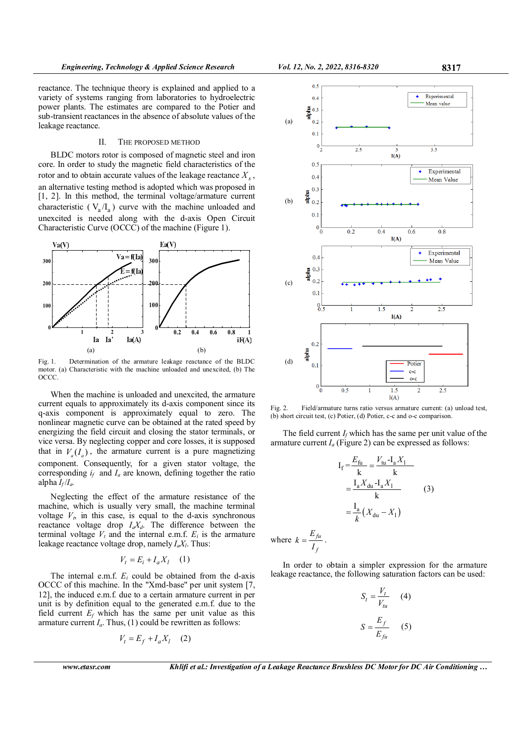reactance. The technique theory is explained and applied to a variety of systems ranging from laboratories to hydroelectric power plants. The estimates are compared to the Potier and sub-transient reactances in the absence of absolute values of the leakage reactance.

## II. THE PROPOSED METHOD

BLDC motors rotor is composed of magnetic steel and iron core. In order to study the magnetic field characteristics of the rotor and to obtain accurate values of the leakage reactance  $X_s$ , an alternative testing method is adopted which was proposed in [1, 2]. In this method, the terminal voltage/armature current characteristic ( $V_a/I_a$ ) curve with the machine unloaded and unexcited is needed along with the d-axis Open Circuit Characteristic Curve (OCCC) of the machine (Figure 1).



Fig. 1. Determination of the armature leakage reactance of the BLDC motor. (a) Characteristic with the machine unloaded and unexcited, (b) The OCCC.

When the machine is unloaded and unexcited, the armature current equals to approximately its d-axis component since its q-axis component is approximately equal to zero. The nonlinear magnetic curve can be obtained at the rated speed by energizing the field circuit and closing the stator terminals, or vice versa. By neglecting copper and core losses, it is supposed that in  $V_a(I_a)$ , the armature current is a pure magnetizing component. Consequently, for a given stator voltage, the corresponding  $i_f$  and  $I_a$  are known, defining together the ratio alpha  $I_f/I_a$ .

Neglecting the effect of the armature resistance of the machine, which is usually very small, the machine terminal voltage  $V_t$ , in this case, is equal to the d-axis synchronous reactance voltage drop  $I_a X_d$ . The difference between the terminal voltage  $V_t$  and the internal e.m.f.  $E_i$  is the armature leakage reactance voltage drop, namely  $I_a X_l$ . Thus:

$$
V_t = E_i + I_a X_l \quad (1)
$$

The internal e.m.f.  $E_i$  could be obtained from the d-axis OCCC of this machine. In the "Xmd-base" per unit system [7, 12], the induced e.m.f. due to a certain armature current in per unit is by definition equal to the generated e.m.f. due to the field current  $E_f$  which has the same per unit value as this armature current  $I_a$ . Thus, (1) could be rewritten as follows:

$$
V_t = E_f + I_a X_l \quad (2)
$$



where  $k = \frac{E_{fu}}{I}$ 

f



Fig. 2. Field/armature turns ratio versus armature current: (a) unload test, (b) short circuit test, (c) Potier, (d) Potier, c-c and o-c comparison.

The field current  $I_f$  which has the same per unit value of the armature current  $I_a$  (Figure 2) can be expressed as follows:

$$
I_{f} = \frac{E_{fu}}{k} = \frac{V_{tu} - I_{a}X_{1}}{k}
$$
  

$$
= \frac{I_{a}X_{du} - I_{a}X_{1}}{k}
$$
  

$$
= \frac{I_{a}}{k}(X_{du} - X_{1})
$$
  

$$
k = \frac{E_{fu}}{I_{f}}.
$$
 (3)

In order to obtain a simpler expression for the armature leakage reactance, the following saturation factors can be used:

$$
S_t = \frac{V_t}{V_{tu}} \quad (4)
$$

$$
S = \frac{E_f}{E_{fu}} \quad (5)
$$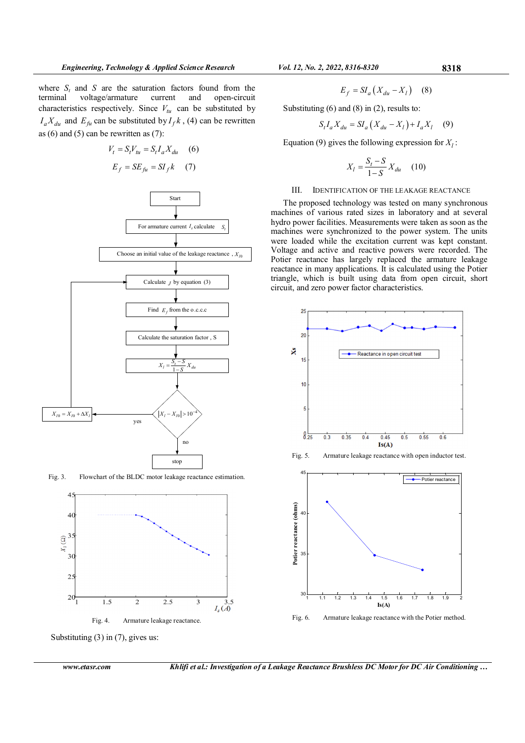where  $S_t$  and S are the saturation factors found from the terminal voltage/armature current and open-circuit characteristics respectively. Since  $V_{tu}$  can be substituted by  $I_a X_{du}$  and  $E_{fu}$  can be substituted by  $I_f k$ , (4) can be rewritten as  $(6)$  and  $(5)$  can be rewritten as  $(7)$ :



Fig. 3. Flowchart of the BLDC motor leakage reactance estimation.



$$
E_f = SI_a \left( X_{du} - X_l \right) \quad (8)
$$

Substituting (6) and (8) in (2), results to:

$$
S_t I_a X_{du} = S I_a \left( X_{du} - X_l \right) + I_a X_l \tag{9}
$$

Equation (9) gives the following expression for  $X_l$ :

$$
X_l = \frac{S_t - S}{1 - S} X_{du} \quad (10)
$$

# III. IDENTIFICATION OF THE LEAKAGE REACTANCE

The proposed technology was tested on many synchronous machines of various rated sizes in laboratory and at several hydro power facilities. Measurements were taken as soon as the machines were synchronized to the power system. The units were loaded while the excitation current was kept constant. Voltage and active and reactive powers were recorded. The Potier reactance has largely replaced the armature leakage reactance in many applications. It is calculated using the Potier triangle, which is built using data from open circuit, short circuit, and zero power factor characteristics.



Fig. 5. Armature leakage reactance with open inductor test.



Fig. 6. Armature leakage reactance with the Potier method.

Substituting (3) in (7), gives us: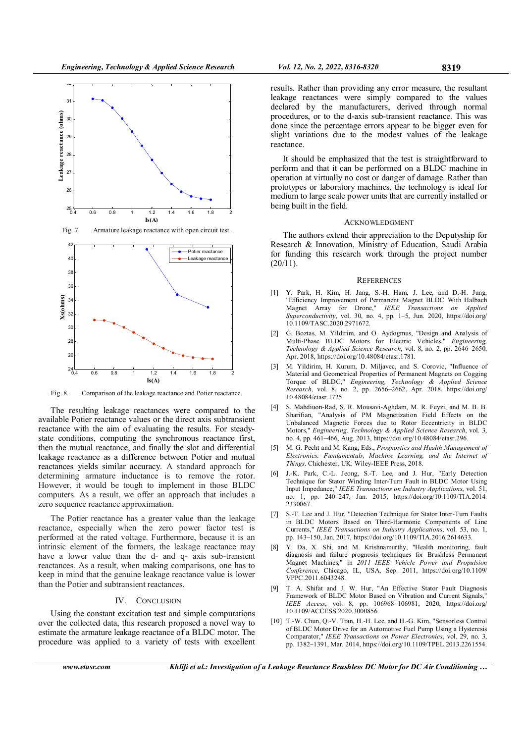

Fig. 8. Comparison of the leakage reactance and Potier reactance.

The resulting leakage reactances were compared to the available Potier reactance values or the direct axis subtransient reactance with the aim of evaluating the results. For steadystate conditions, computing the synchronous reactance first, then the mutual reactance, and finally the slot and differential leakage reactance as a difference between Potier and mutual reactances yields similar accuracy. A standard approach for determining armature inductance is to remove the rotor. However, it would be tough to implement in those BLDC computers. As a result, we offer an approach that includes a zero sequence reactance approximation.

The Potier reactance has a greater value than the leakage reactance, especially when the zero power factor test is performed at the rated voltage. Furthermore, because it is an intrinsic element of the formers, the leakage reactance may have a lower value than the d- and q- axis sub-transient reactances. As a result, when making comparisons, one has to keep in mind that the genuine leakage reactance value is lower than the Potier and subtransient reactances.

### IV. CONCLUSION

Using the constant excitation test and simple computations over the collected data, this research proposed a novel way to estimate the armature leakage reactance of a BLDC motor. The procedure was applied to a variety of tests with excellent

results. Rather than providing any error measure, the resultant leakage reactances were simply compared to the values declared by the manufacturers, derived through normal procedures, or to the d-axis sub-transient reactance. This was done since the percentage errors appear to be bigger even for slight variations due to the modest values of the leakage reactance.

It should be emphasized that the test is straightforward to perform and that it can be performed on a BLDC machine in operation at virtually no cost or danger of damage. Rather than prototypes or laboratory machines, the technology is ideal for medium to large scale power units that are currently installed or being built in the field.

#### **ACKNOWLEDGMENT**

The authors extend their appreciation to the Deputyship for Research & Innovation, Ministry of Education, Saudi Arabia for funding this research work through the project number  $(20/11).$ 

#### **REFERENCES**

- [1] Y. Park, H. Kim, H. Jang, S.-H. Ham, J. Lee, and D.-H. Jung, "Efficiency Improvement of Permanent Magnet BLDC With Halbach Magnet Array for Drone," IEEE Transactions on Applied Superconductivity, vol. 30, no. 4, pp. 1-5, Jun. 2020, https://doi.org/ 10.1109/TASC.2020.2971672.
- [2] G. Boztas, M. Yildirim, and O. Aydogmus, "Design and Analysis of Multi-Phase BLDC Motors for Electric Vehicles," Engineering, Technology & Applied Science Research, vol. 8, no. 2, pp. 2646–2650, Apr. 2018, https://doi.org/10.48084/etasr.1781.
- [3] M. Yildirim, H. Kurum, D. Miljavec, and S. Corovic, "Influence of Material and Geometrical Properties of Permanent Magnets on Cogging Torque of BLDC," Engineering, Technology & Applied Science Research, vol. 8, no. 2, pp. 2656–2662, Apr. 2018, https://doi.org/ 10.48084/etasr.1725.
- [4] S. Mahdiuon-Rad, S. R. Mousavi-Aghdam, M. R. Feyzi, and M. B. B. Sharifian, "Analysis of PM Magnetization Field Effects on the Unbalanced Magnetic Forces due to Rotor Eccentricity in BLDC Motors," Engineering, Technology & Applied Science Research, vol. 3, no. 4, pp. 461–466, Aug. 2013, https://doi.org/10.48084/etasr.296.
- [5] M. G. Pecht and M. Kang, Eds., Prognostics and Health Management of Electronics: Fundamentals, Machine Learning, and the Internet of Things. Chichester, UK: Wiley-IEEE Press, 2018.
- [6] J.-K. Park, C.-L. Jeong, S.-T. Lee, and J. Hur, "Early Detection Technique for Stator Winding Inter-Turn Fault in BLDC Motor Using Input Impedance," IEEE Transactions on Industry Applications, vol. 51, no. 1, pp. 240–247, Jan. 2015, https://doi.org/10.1109/TIA.2014. 2330067.
- [7] S.-T. Lee and J. Hur, "Detection Technique for Stator Inter-Turn Faults in BLDC Motors Based on Third-Harmonic Components of Line Currents," IEEE Transactions on Industry Applications, vol. 53, no. 1, pp. 143–150, Jan. 2017, https://doi.org/10.1109/TIA.2016.2614633.
- [8] Y. Da, X. Shi, and M. Krishnamurthy, "Health monitoring, fault diagnosis and failure prognosis techniques for Brushless Permanent Magnet Machines," in 2011 IEEE Vehicle Power and Propulsion Conference, Chicago, IL, USA, Sep. 2011, https://doi.org/10.1109/ VPPC.2011.6043248.
- [9] T. A. Shifat and J. W. Hur, "An Effective Stator Fault Diagnosis Framework of BLDC Motor Based on Vibration and Current Signals," IEEE Access, vol. 8, pp. 106968–106981, 2020, https://doi.org/ 10.1109/ACCESS.2020.3000856.
- [10] T.-W. Chun, Q.-V. Tran, H.-H. Lee, and H.-G. Kim, "Sensorless Control of BLDC Motor Drive for an Automotive Fuel Pump Using a Hysteresis Comparator," IEEE Transactions on Power Electronics, vol. 29, no. 3, pp. 1382–1391, Mar. 2014, https://doi.org/10.1109/TPEL.2013.2261554.